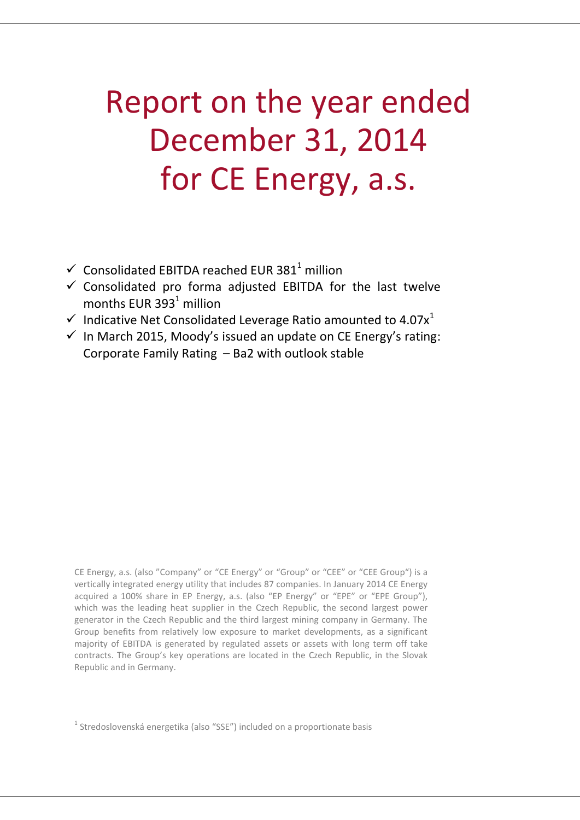# Report on the year ended December 31, 2014 for CE Energy, a.s.

- $\checkmark$  Consolidated EBITDA reached EUR 381<sup>1</sup> million
- $\checkmark$  Consolidated pro forma adjusted EBITDA for the last twelve months EUR  $393<sup>1</sup>$  million
- $\checkmark$  Indicative Net Consolidated Leverage Ratio amounted to 4.07 $x^1$
- $\checkmark$  In March 2015, Moody's issued an update on CE Energy's rating: Corporate Family Rating – Ba2 with outlook stable

CE Energy, a.s. (also "Company" or "CE Energy" or "Group" or "CEE" or "CEE Group") is a vertically integrated energy utility that includes 87 companies. In January 2014 CE Energy acquired a 100% share in EP Energy, a.s. (also "EP Energy" or "EPE" or "EPE Group"), which was the leading heat supplier in the Czech Republic, the second largest power generator in the Czech Republic and the third largest mining company in Germany. The Group benefits from relatively low exposure to market developments, as a significant majority of EBITDA is generated by regulated assets or assets with long term off take contracts. The Group's key operations are located in the Czech Republic, in the Slovak Republic and in Germany.

 $<sup>1</sup>$  Stredoslovenská energetika (also "SSE") included on a proportionate basis</sup>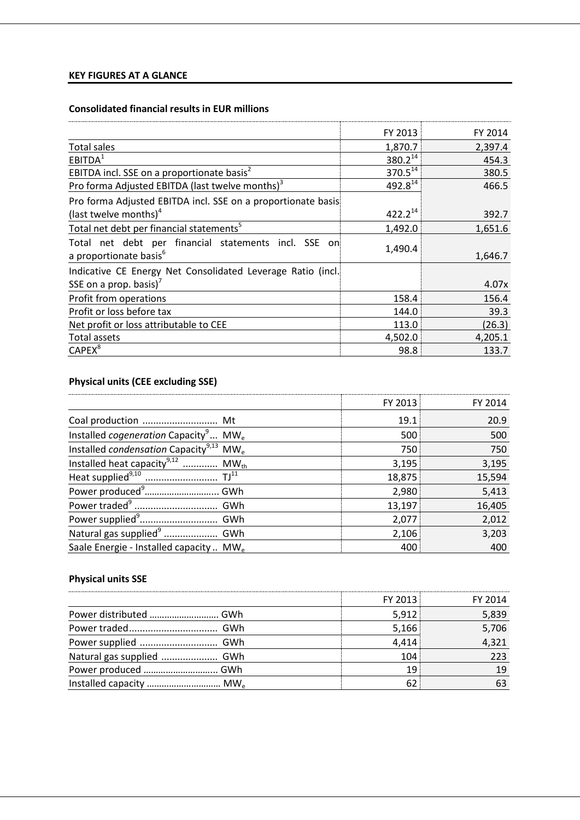## **KEY FIGURES AT A GLANCE**

## **Consolidated financial results in EUR millions**

|                                                                                            | FY 2013             | FY 2014 |
|--------------------------------------------------------------------------------------------|---------------------|---------|
| <b>Total sales</b>                                                                         | 1,870.7             | 2,397.4 |
| EBITDA <sup>1</sup>                                                                        | $380.2^{14}$        | 454.3   |
| EBITDA incl. SSE on a proportionate basis <sup>2</sup>                                     | 370.5 <sup>14</sup> | 380.5   |
| Pro forma Adjusted EBITDA (last twelve months) <sup>3</sup>                                | 492.814             | 466.5   |
| Pro forma Adjusted EBITDA incl. SSE on a proportionate basis                               |                     |         |
| (last twelve months) <sup>4</sup>                                                          | $422.2^{14}$        | 392.7   |
| Total net debt per financial statements <sup>5</sup>                                       | 1,492.0             | 1,651.6 |
| Total net debt per financial statements incl. SSE on<br>a proportionate basis <sup>6</sup> | 1,490.4             | 1,646.7 |
| Indicative CE Energy Net Consolidated Leverage Ratio (incl.                                |                     |         |
| SSE on a prop. basis) <sup>7</sup>                                                         |                     | 4.07x   |
| Profit from operations                                                                     | 158.4               | 156.4   |
| Profit or loss before tax                                                                  | 144.0               | 39.3    |
| Net profit or loss attributable to CEE                                                     | 113.0               | (26.3)  |
| Total assets                                                                               | 4,502.0             | 4,205.1 |
| CAPEX <sup>8</sup>                                                                         | 98.8                | 133.7   |

## **Physical units (CEE excluding SSE)**

|                                                                       | FY 2013 | FY 2014 |
|-----------------------------------------------------------------------|---------|---------|
|                                                                       | 19.1    | 20.9    |
| Installed <i>cogeneration</i> Capacity <sup>9</sup> MW <sub>e</sub>   | 500     | 500     |
| Installed <i>condensation</i> Capacity <sup>9,13</sup><br>$MW_{\rho}$ | 750     | 750     |
| Installed heat capacity <sup>9,12</sup> MW <sub>th</sub>              | 3,195   | 3,195   |
|                                                                       | 18,875  | 15,594  |
|                                                                       | 2,980   | 5,413   |
|                                                                       | 13,197  | 16,405  |
|                                                                       | 2,077   | 2,012   |
|                                                                       | 2,106   | 3,203   |
| Saale Energie - Installed capacity  MW <sub>e</sub>                   | 400     | 400     |

## **Physical units SSE**

|                                     | FY 2013 | FY 2014 |
|-------------------------------------|---------|---------|
| Power distributed  GWh              | 5,912   | 5,839   |
|                                     | 5,166   | 5,706   |
|                                     | 4,414   | 4,321   |
| Natural gas supplied  GWh           | 104     | 223     |
| Power produced  GWh                 | 19      | 19      |
| Installed capacity  MW <sub>e</sub> | 62      |         |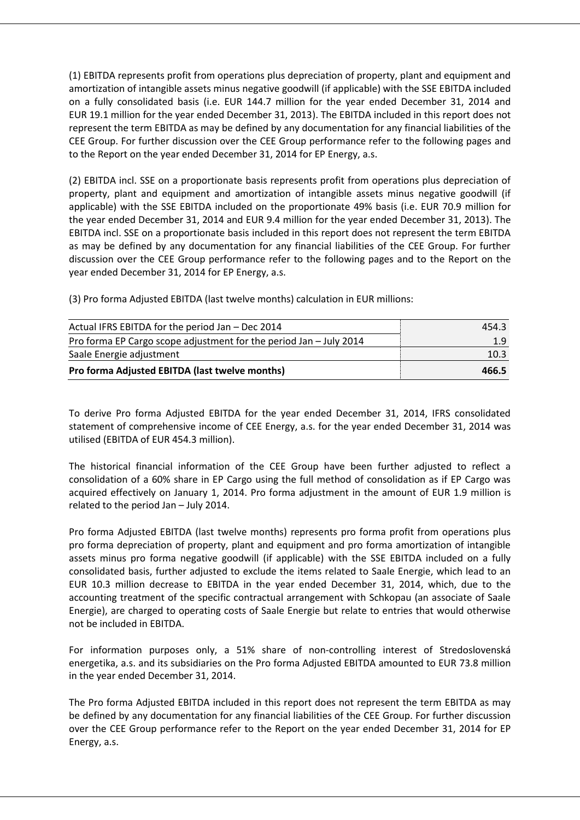(1) EBITDA represents profit from operations plus depreciation of property, plant and equipment and amortization of intangible assets minus negative goodwill (if applicable) with the SSE EBITDA included on a fully consolidated basis (i.e. EUR 144.7 million for the year ended December 31, 2014 and EUR 19.1 million for the year ended December 31, 2013). The EBITDA included in this report does not represent the term EBITDA as may be defined by any documentation for any financial liabilities of the CEE Group. For further discussion over the CEE Group performance refer to the following pages and to the Report on the year ended December 31, 2014 for EP Energy, a.s.

(2) EBITDA incl. SSE on a proportionate basis represents profit from operations plus depreciation of property, plant and equipment and amortization of intangible assets minus negative goodwill (if applicable) with the SSE EBITDA included on the proportionate 49% basis (i.e. EUR 70.9 million for the year ended December 31, 2014 and EUR 9.4 million for the year ended December 31, 2013). The EBITDA incl. SSE on a proportionate basis included in this report does not represent the term EBITDA as may be defined by any documentation for any financial liabilities of the CEE Group. For further discussion over the CEE Group performance refer to the following pages and to the Report on the year ended December 31, 2014 for EP Energy, a.s.

(3) Pro forma Adjusted EBITDA (last twelve months) calculation in EUR millions:

| Actual IFRS EBITDA for the period Jan - Dec 2014                   | 454.3 |
|--------------------------------------------------------------------|-------|
| Pro forma EP Cargo scope adjustment for the period Jan - July 2014 | 1.9   |
| Saale Energie adjustment                                           | 10.3  |
| Pro forma Adjusted EBITDA (last twelve months)                     | 466.5 |

To derive Pro forma Adjusted EBITDA for the year ended December 31, 2014, IFRS consolidated statement of comprehensive income of CEE Energy, a.s. for the year ended December 31, 2014 was utilised (EBITDA of EUR 454.3 million).

The historical financial information of the CEE Group have been further adjusted to reflect a consolidation of a 60% share in EP Cargo using the full method of consolidation as if EP Cargo was acquired effectively on January 1, 2014. Pro forma adjustment in the amount of EUR 1.9 million is related to the period Jan – July 2014.

Pro forma Adjusted EBITDA (last twelve months) represents pro forma profit from operations plus pro forma depreciation of property, plant and equipment and pro forma amortization of intangible assets minus pro forma negative goodwill (if applicable) with the SSE EBITDA included on a fully consolidated basis, further adjusted to exclude the items related to Saale Energie, which lead to an EUR 10.3 million decrease to EBITDA in the year ended December 31, 2014, which, due to the accounting treatment of the specific contractual arrangement with Schkopau (an associate of Saale Energie), are charged to operating costs of Saale Energie but relate to entries that would otherwise not be included in EBITDA.

For information purposes only, a 51% share of non-controlling interest of Stredoslovenská energetika, a.s. and its subsidiaries on the Pro forma Adjusted EBITDA amounted to EUR 73.8 million in the year ended December 31, 2014.

The Pro forma Adjusted EBITDA included in this report does not represent the term EBITDA as may be defined by any documentation for any financial liabilities of the CEE Group. For further discussion over the CEE Group performance refer to the Report on the year ended December 31, 2014 for EP Energy, a.s.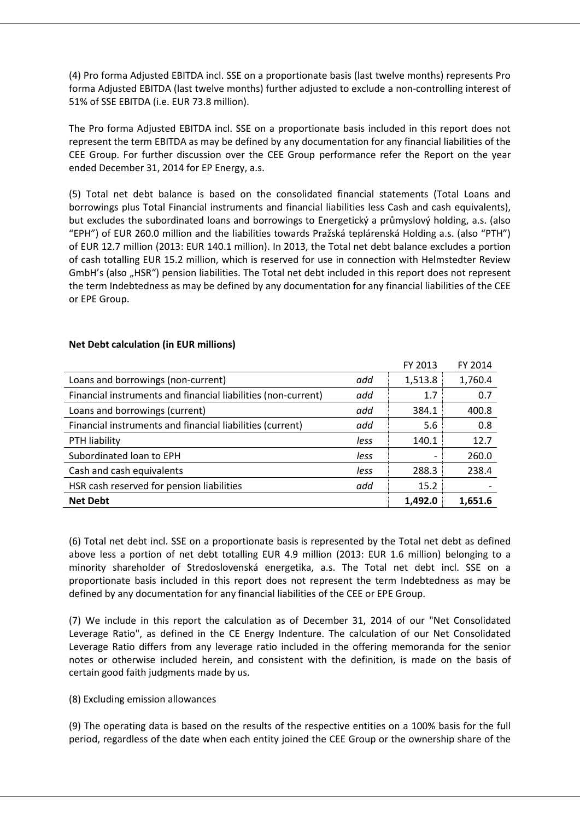(4) Pro forma Adjusted EBITDA incl. SSE on a proportionate basis (last twelve months) represents Pro forma Adjusted EBITDA (last twelve months) further adjusted to exclude a non-controlling interest of 51% of SSE EBITDA (i.e. EUR 73.8 million).

The Pro forma Adjusted EBITDA incl. SSE on a proportionate basis included in this report does not represent the term EBITDA as may be defined by any documentation for any financial liabilities of the CEE Group. For further discussion over the CEE Group performance refer the Report on the year ended December 31, 2014 for EP Energy, a.s.

(5) Total net debt balance is based on the consolidated financial statements (Total Loans and borrowings plus Total Financial instruments and financial liabilities less Cash and cash equivalents), but excludes the subordinated loans and borrowings to Energetický a průmyslový holding, a.s. (also "EPH") of EUR 260.0 million and the liabilities towards Pražská teplárenská Holding a.s. (also "PTH") of EUR 12.7 million (2013: EUR 140.1 million). In 2013, the Total net debt balance excludes a portion of cash totalling EUR 15.2 million, which is reserved for use in connection with Helmstedter Review GmbH's (also ..HSR") pension liabilities. The Total net debt included in this report does not represent the term Indebtedness as may be defined by any documentation for any financial liabilities of the CEE or EPE Group.

 $F(x \cap 2) = F(x \cap 2)$ 

|                                                               |      | <b>FY 2013</b> | FY 2014 |
|---------------------------------------------------------------|------|----------------|---------|
| Loans and borrowings (non-current)                            | add  | 1,513.8        | 1,760.4 |
| Financial instruments and financial liabilities (non-current) | add  | 1.7            | 0.7     |
| Loans and borrowings (current)                                | add  | 384.1          | 400.8   |
| Financial instruments and financial liabilities (current)     | add  | 5.6            | 0.8     |
| PTH liability                                                 | less | 140.1          | 12.7    |
| Subordinated loan to EPH                                      | less |                | 260.0   |
| Cash and cash equivalents                                     | less | 288.3          | 238.4   |
| HSR cash reserved for pension liabilities                     | add  | 15.2           |         |
| <b>Net Debt</b>                                               |      | 1.492.0        | 1,651.6 |

## **Net Debt calculation (in EUR millions)**

(6) Total net debt incl. SSE on a proportionate basis is represented by the Total net debt as defined above less a portion of net debt totalling EUR 4.9 million (2013: EUR 1.6 million) belonging to a minority shareholder of Stredoslovenská energetika, a.s. The Total net debt incl. SSE on a proportionate basis included in this report does not represent the term Indebtedness as may be defined by any documentation for any financial liabilities of the CEE or EPE Group.

(7) We include in this report the calculation as of December 31, 2014 of our "Net Consolidated Leverage Ratio", as defined in the CE Energy Indenture. The calculation of our Net Consolidated Leverage Ratio differs from any leverage ratio included in the offering memoranda for the senior notes or otherwise included herein, and consistent with the definition, is made on the basis of certain good faith judgments made by us.

## (8) Excluding emission allowances

(9) The operating data is based on the results of the respective entities on a 100% basis for the full period, regardless of the date when each entity joined the CEE Group or the ownership share of the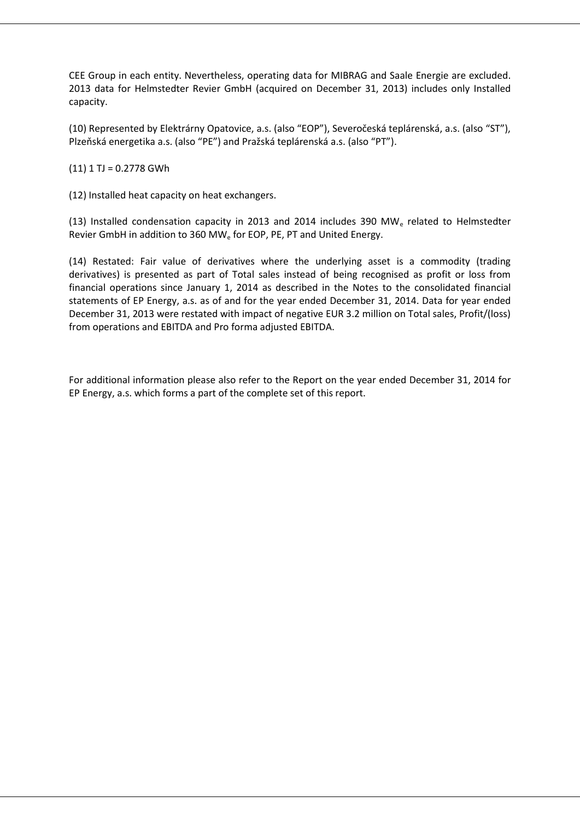CEE Group in each entity. Nevertheless, operating data for MIBRAG and Saale Energie are excluded. 2013 data for Helmstedter Revier GmbH (acquired on December 31, 2013) includes only Installed capacity.

(10) Represented by Elektrárny Opatovice, a.s. (also "EOP"), Severočeská teplárenská, a.s. (also "ST"), Plzeňská energetika a.s. (also "PE") and Pražská teplárenská a.s. (also "PT").

 $(11)$  1 TJ = 0.2778 GWh

(12) Installed heat capacity on heat exchangers.

(13) Installed condensation capacity in 2013 and 2014 includes 390 MW<sup>e</sup> related to Helmstedter Revier GmbH in addition to 360 MW<sub>e</sub> for EOP, PE, PT and United Energy.

(14) Restated: Fair value of derivatives where the underlying asset is a commodity (trading derivatives) is presented as part of Total sales instead of being recognised as profit or loss from financial operations since January 1, 2014 as described in the Notes to the consolidated financial statements of EP Energy, a.s. as of and for the year ended December 31, 2014. Data for year ended December 31, 2013 were restated with impact of negative EUR 3.2 million on Total sales, Profit/(loss) from operations and EBITDA and Pro forma adjusted EBITDA.

For additional information please also refer to the Report on the year ended December 31, 2014 for EP Energy, a.s. which forms a part of the complete set of this report.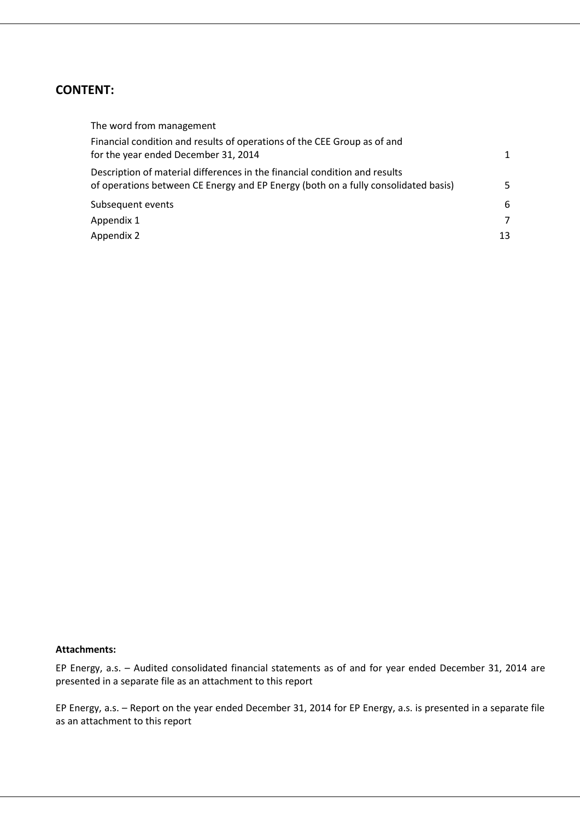## **CONTENT:**

| The word from management                                                                                                                                         |              |
|------------------------------------------------------------------------------------------------------------------------------------------------------------------|--------------|
| Financial condition and results of operations of the CEE Group as of and<br>for the year ended December 31, 2014                                                 | $\mathbf{1}$ |
| Description of material differences in the financial condition and results<br>of operations between CE Energy and EP Energy (both on a fully consolidated basis) | 5            |
| Subsequent events                                                                                                                                                | 6            |
| Appendix 1                                                                                                                                                       | 7            |
| Appendix 2                                                                                                                                                       | 13           |

#### **Attachments:**

EP Energy, a.s. – Audited consolidated financial statements as of and for year ended December 31, 2014 are presented in a separate file as an attachment to this report

EP Energy, a.s. – Report on the year ended December 31, 2014 for EP Energy, a.s. is presented in a separate file as an attachment to this report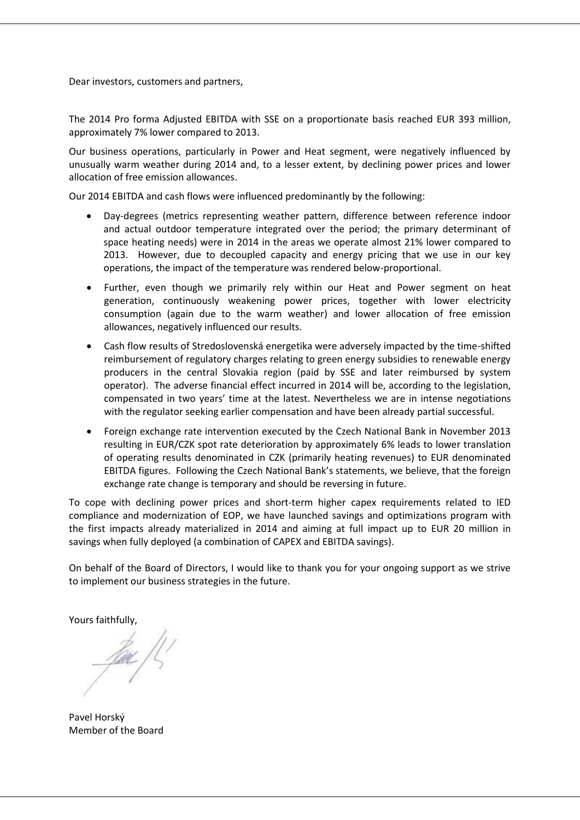Dear investors, customers and partners,

The 2014 Pro forma Adjusted EBITDA with SSE on a proportionate basis reached EUR 393 million, approximately 7% lower compared to 2013.

Our business operations, particularly in Power and Heat segment, were negatively influenced by unusually warm weather during 2014 and, to a lesser extent, by declining power prices and lower allocation of free emission allowances.

Our 2014 EBITDA and cash flows were influenced predominantly by the following:

- Day-degrees (metrics representing weather pattern, difference between reference indoor and actual outdoor temperature integrated over the period; the primary determinant of space heating needs) were in 2014 in the areas we operate almost 21% lower compared to 2013. However, due to decoupled capacity and energy pricing that we use in our key operations, the impact of the temperature was rendered below-proportional.
- Further, even though we primarily rely within our Heat and Power segment on heat generation, continuously weakening power prices, together with lower electricity consumption (again due to the warm weather) and lower allocation of free emission allowances, negatively influenced our results.
- Cash flow results of Stredoslovenská energetika were adversely impacted by the time-shifted reimbursement of regulatory charges relating to green energy subsidies to renewable energy producers in the central Slovakia region (paid by SSE and later reimbursed by system operator). The adverse financial effect incurred in 2014 will be, according to the legislation, compensated in two years' time at the latest. Nevertheless we are in intense negotiations with the regulator seeking earlier compensation and have been already partial successful.
- Foreign exchange rate intervention executed by the Czech National Bank in November 2013 resulting in EUR/CZK spot rate deterioration by approximately 6% leads to lower translation of operating results denominated in CZK (primarily heating revenues) to EUR denominated EBITDA figures. Following the Czech National Bank's statements, we believe, that the foreign exchange rate change is temporary and should be reversing in future.

To cope with declining power prices and short-term higher capex requirements related to IED compliance and modernization of EOP, we have launched savings and optimizations program with the first impacts already materialized in 2014 and aiming at full impact up to EUR 20 million in savings when fully deployed (a combination of CAPEX and EBITDA savings).

On behalf of the Board of Directors, I would like to thank you for your ongoing support as we strive to implement our business strategies in the future.

Yours faithfully,

<u>fox</u> ft,

Pavel Horský Member of the Board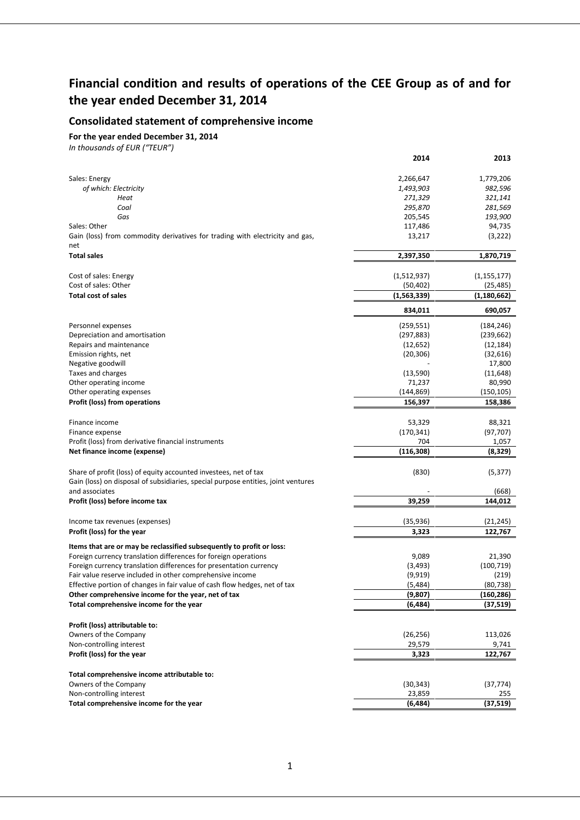## **Financial condition and results of operations of the CEE Group as of and for the year ended December 31, 2014**

## **Consolidated statement of comprehensive income**

**For the year ended December 31, 2014**

|                                                                                   | 2014               | 2013              |
|-----------------------------------------------------------------------------------|--------------------|-------------------|
|                                                                                   |                    |                   |
| Sales: Energy                                                                     | 2,266,647          | 1,779,206         |
| of which: Electricity                                                             | 1,493,903          | 982,596           |
| Heat                                                                              | 271,329            | 321,141           |
| Coal<br>Gas                                                                       | 295,870            | 281,569           |
| Sales: Other                                                                      | 205,545<br>117,486 | 193,900<br>94,735 |
| Gain (loss) from commodity derivatives for trading with electricity and gas,      | 13,217             | (3, 222)          |
| net                                                                               |                    |                   |
| <b>Total sales</b>                                                                | 2,397,350          | 1,870,719         |
| Cost of sales: Energy                                                             | (1,512,937)        | (1, 155, 177)     |
| Cost of sales: Other                                                              | (50, 402)          | (25, 485)         |
| <b>Total cost of sales</b>                                                        | (1, 563, 339)      | (1, 180, 662)     |
|                                                                                   |                    |                   |
|                                                                                   | 834,011            | 690,057           |
| Personnel expenses                                                                | (259, 551)         | (184, 246)        |
| Depreciation and amortisation                                                     | (297, 883)         | (239, 662)        |
| Repairs and maintenance                                                           | (12, 652)          | (12, 184)         |
| Emission rights, net                                                              | (20, 306)          | (32, 616)         |
| Negative goodwill                                                                 |                    | 17,800            |
| Taxes and charges                                                                 | (13,590)           | (11, 648)         |
| Other operating income                                                            | 71,237             | 80,990            |
| Other operating expenses                                                          | (144, 869)         | (150, 105)        |
| <b>Profit (loss) from operations</b>                                              | 156,397            | 158,386           |
| Finance income                                                                    | 53,329             | 88,321            |
| Finance expense                                                                   | (170, 341)         | (97, 707)         |
| Profit (loss) from derivative financial instruments                               | 704                | 1,057             |
| Net finance income (expense)                                                      | (116, 308)         | (8, 329)          |
|                                                                                   |                    |                   |
| Share of profit (loss) of equity accounted investees, net of tax                  | (830)              | (5, 377)          |
| Gain (loss) on disposal of subsidiaries, special purpose entities, joint ventures |                    |                   |
| and associates                                                                    |                    | (668)             |
| Profit (loss) before income tax                                                   | 39,259             | 144,012           |
|                                                                                   |                    |                   |
| Income tax revenues (expenses)                                                    | (35, 936)          | (21, 245)         |
| Profit (loss) for the year                                                        | 3,323              | 122,767           |
| Items that are or may be reclassified subsequently to profit or loss:             |                    |                   |
| Foreign currency translation differences for foreign operations                   | 9,089              | 21,390            |
| Foreign currency translation differences for presentation currency                | (3, 493)           | (100, 719)        |
| Fair value reserve included in other comprehensive income                         | (9, 919)           | (219)             |
| Effective portion of changes in fair value of cash flow hedges, net of tax        | (5,484)            | (80, 738)         |
| Other comprehensive income for the year, net of tax                               | (9,807)            | (160,286)         |
| Total comprehensive income for the year                                           | (6, 484)           | (37, 519)         |
|                                                                                   |                    |                   |
| Profit (loss) attributable to:                                                    |                    |                   |
| Owners of the Company                                                             | (26, 256)          | 113,026           |
| Non-controlling interest                                                          | 29,579             | 9,741             |
| Profit (loss) for the year                                                        | 3,323              | 122,767           |
|                                                                                   |                    |                   |
| Total comprehensive income attributable to:                                       |                    |                   |
| Owners of the Company                                                             | (30, 343)          | (37, 774)         |
| Non-controlling interest                                                          | 23,859             | 255               |
| Total comprehensive income for the year                                           | (6, 484)           | (37, 519)         |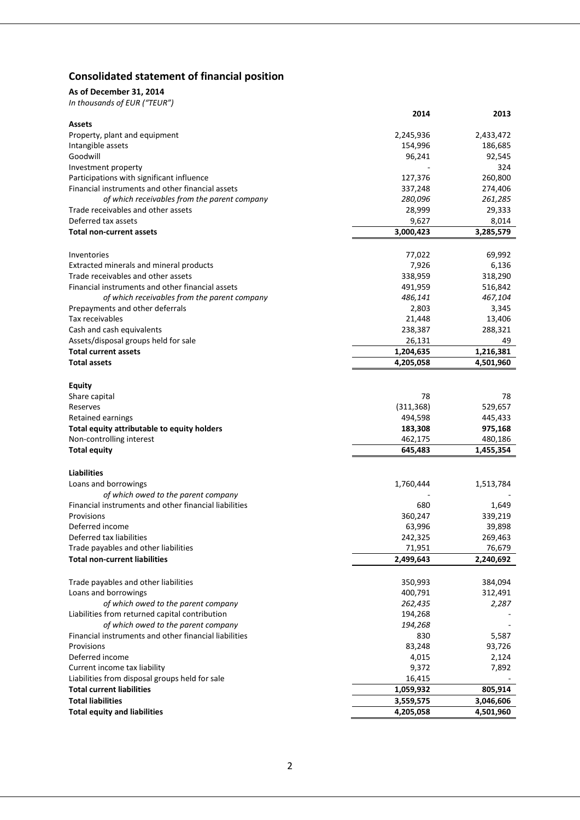## **Consolidated statement of financial position**

## **As of December 31, 2014**

|                                                       | 2014                   | 2013              |
|-------------------------------------------------------|------------------------|-------------------|
| <b>Assets</b>                                         |                        |                   |
| Property, plant and equipment                         | 2,245,936              | 2,433,472         |
| Intangible assets                                     | 154,996                | 186,685           |
| Goodwill                                              | 96,241                 | 92,545            |
| Investment property                                   |                        | 324               |
| Participations with significant influence             | 127,376                | 260,800           |
| Financial instruments and other financial assets      | 337,248                | 274,406           |
| of which receivables from the parent company          | 280,096                | 261,285           |
| Trade receivables and other assets                    | 28,999                 | 29,333            |
| Deferred tax assets                                   | 9,627                  | 8,014             |
| Total non-current assets                              | 3,000,423              | 3,285,579         |
|                                                       |                        |                   |
| Inventories                                           | 77,022                 | 69,992            |
| Extracted minerals and mineral products               | 7,926                  | 6,136             |
| Trade receivables and other assets                    | 338,959                | 318,290           |
| Financial instruments and other financial assets      | 491,959                | 516,842           |
| of which receivables from the parent company          | 486,141<br>2,803       | 467,104           |
| Prepayments and other deferrals<br>Tax receivables    |                        | 3,345             |
| Cash and cash equivalents                             | 21,448                 | 13,406<br>288,321 |
| Assets/disposal groups held for sale                  | 238,387<br>26,131      | 49                |
| <b>Total current assets</b>                           |                        | 1,216,381         |
| <b>Total assets</b>                                   | 1,204,635<br>4,205,058 | 4,501,960         |
|                                                       |                        |                   |
| <b>Equity</b>                                         |                        |                   |
| Share capital                                         | 78                     | 78                |
| Reserves                                              | (311, 368)             | 529,657           |
| Retained earnings                                     | 494,598                | 445,433           |
| Total equity attributable to equity holders           | 183,308                | 975,168           |
| Non-controlling interest                              | 462,175                | 480,186           |
| <b>Total equity</b>                                   | 645,483                | 1,455,354         |
|                                                       |                        |                   |
| <b>Liabilities</b>                                    |                        |                   |
| Loans and borrowings                                  | 1,760,444              | 1,513,784         |
| of which owed to the parent company                   |                        |                   |
| Financial instruments and other financial liabilities | 680                    | 1,649             |
| Provisions                                            | 360,247                | 339,219           |
| Deferred income                                       | 63,996                 | 39,898            |
| Deferred tax liabilities                              | 242,325                | 269,463           |
| Trade payables and other liabilities                  | 71,951                 | 76,679            |
| <b>Total non-current liabilities</b>                  | 2,499,643              | 2,240,692         |
|                                                       |                        |                   |
| Trade payables and other liabilities                  | 350,993                | 384,094           |
| Loans and borrowings                                  | 400,791                | 312,491           |
| of which owed to the parent company                   | 262,435                | 2,287             |
| Liabilities from returned capital contribution        | 194,268                |                   |
| of which owed to the parent company                   | 194,268                |                   |
| Financial instruments and other financial liabilities | 830                    | 5,587             |
| Provisions                                            | 83,248                 | 93,726            |
| Deferred income                                       | 4,015                  | 2,124             |
| Current income tax liability                          | 9,372                  | 7,892             |
| Liabilities from disposal groups held for sale        | 16,415                 |                   |
| <b>Total current liabilities</b>                      | 1,059,932              | 805,914           |
| <b>Total liabilities</b>                              | 3,559,575              | 3,046,606         |
| <b>Total equity and liabilities</b>                   | 4,205,058              | 4,501,960         |
|                                                       |                        |                   |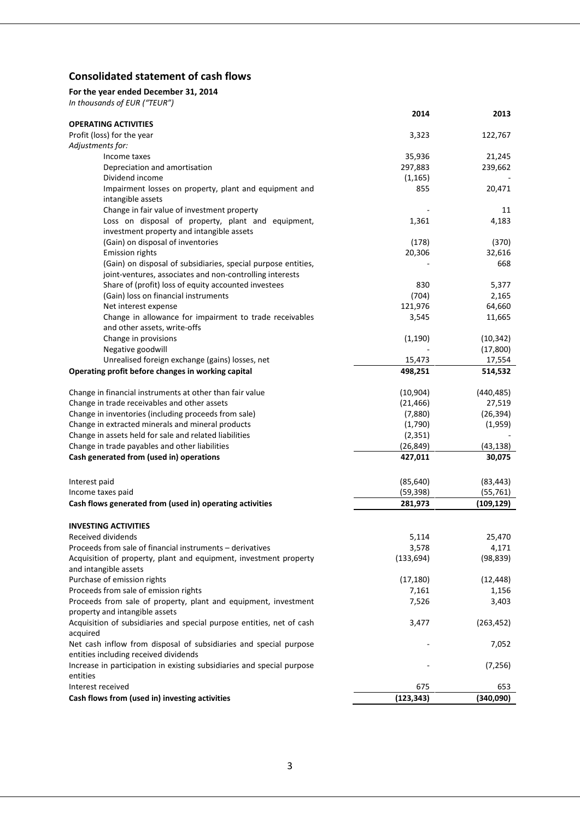## **Consolidated statement of cash flows**

## **For the year ended December 31, 2014**

|                                                                               | 2014       | 2013       |
|-------------------------------------------------------------------------------|------------|------------|
| <b>OPERATING ACTIVITIES</b>                                                   |            |            |
| Profit (loss) for the year                                                    | 3,323      | 122,767    |
| Adjustments for:                                                              |            |            |
| Income taxes                                                                  | 35,936     | 21,245     |
| Depreciation and amortisation                                                 | 297,883    | 239,662    |
| Dividend income                                                               | (1, 165)   |            |
| Impairment losses on property, plant and equipment and                        | 855        | 20,471     |
| intangible assets                                                             |            |            |
| Change in fair value of investment property                                   |            | 11         |
| Loss on disposal of property, plant and equipment,                            | 1,361      | 4,183      |
| investment property and intangible assets                                     |            |            |
| (Gain) on disposal of inventories                                             | (178)      | (370)      |
| <b>Emission rights</b>                                                        | 20,306     | 32,616     |
| (Gain) on disposal of subsidiaries, special purpose entities,                 |            | 668        |
| joint-ventures, associates and non-controlling interests                      |            |            |
| Share of (profit) loss of equity accounted investees                          | 830        | 5,377      |
| (Gain) loss on financial instruments                                          | (704)      | 2,165      |
| Net interest expense                                                          | 121,976    | 64,660     |
| Change in allowance for impairment to trade receivables                       | 3,545      | 11,665     |
| and other assets, write-offs                                                  |            |            |
| Change in provisions                                                          | (1, 190)   | (10, 342)  |
| Negative goodwill                                                             |            | (17, 800)  |
| Unrealised foreign exchange (gains) losses, net                               | 15,473     | 17,554     |
| Operating profit before changes in working capital                            | 498,251    | 514,532    |
| Change in financial instruments at other than fair value                      | (10, 904)  | (440, 485) |
| Change in trade receivables and other assets                                  | (21, 466)  | 27,519     |
| Change in inventories (including proceeds from sale)                          | (7,880)    | (26, 394)  |
| Change in extracted minerals and mineral products                             | (1,790)    | (1,959)    |
| Change in assets held for sale and related liabilities                        | (2, 351)   |            |
| Change in trade payables and other liabilities                                | (26, 849)  | (43, 138)  |
| Cash generated from (used in) operations                                      | 427,011    | 30,075     |
|                                                                               |            |            |
| Interest paid                                                                 | (85, 640)  | (83, 443)  |
| Income taxes paid                                                             | (59, 398)  | (55, 761)  |
| Cash flows generated from (used in) operating activities                      | 281,973    | (109, 129) |
| <b>INVESTING ACTIVITIES</b>                                                   |            |            |
| Received dividends                                                            | 5,114      | 25,470     |
| Proceeds from sale of financial instruments - derivatives                     | 3,578      | 4,171      |
| Acquisition of property, plant and equipment, investment property             | (133, 694) | (98, 839)  |
| and intangible assets                                                         |            |            |
| Purchase of emission rights                                                   | (17, 180)  | (12, 448)  |
| Proceeds from sale of emission rights                                         | 7,161      | 1,156      |
| Proceeds from sale of property, plant and equipment, investment               | 7,526      | 3,403      |
| property and intangible assets                                                |            |            |
| Acquisition of subsidiaries and special purpose entities, net of cash         | 3,477      | (263, 452) |
| acquired<br>Net cash inflow from disposal of subsidiaries and special purpose |            | 7,052      |
| entities including received dividends                                         |            |            |
| Increase in participation in existing subsidiaries and special purpose        |            | (7, 256)   |
| entities                                                                      |            |            |
| Interest received                                                             | 675        | 653        |
| Cash flows from (used in) investing activities                                | (123, 343) | (340,090)  |
|                                                                               |            |            |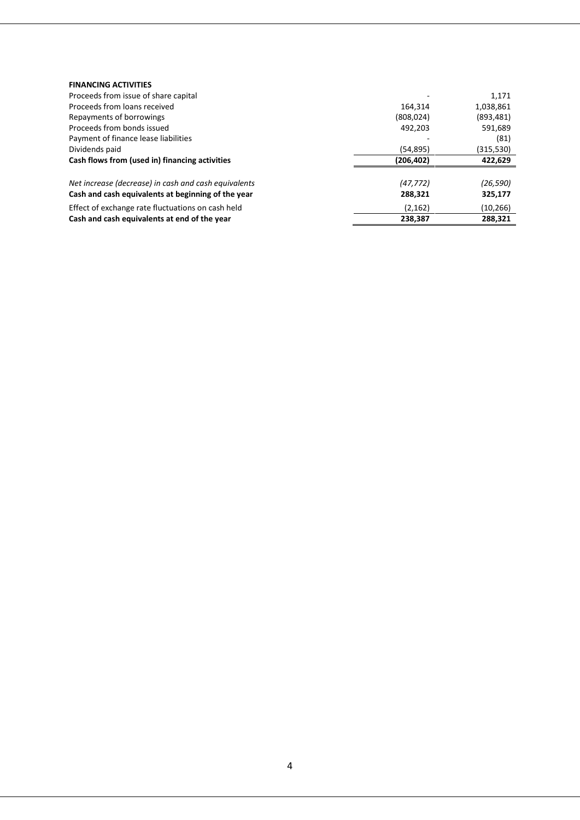| <b>FINANCING ACTIVITIES</b>                          |            |            |
|------------------------------------------------------|------------|------------|
| Proceeds from issue of share capital                 |            | 1,171      |
| Proceeds from loans received                         | 164.314    | 1,038,861  |
| Repayments of borrowings                             | (808, 024) | (893, 481) |
| Proceeds from bonds issued                           | 492,203    | 591,689    |
| Payment of finance lease liabilities                 |            | (81)       |
| Dividends paid                                       | (54,895)   | (315, 530) |
| Cash flows from (used in) financing activities       | (206, 402) | 422,629    |
|                                                      |            |            |
| Net increase (decrease) in cash and cash equivalents | (47, 772)  | (26, 590)  |
| Cash and cash equivalents at beginning of the year   | 288,321    | 325,177    |
| Effect of exchange rate fluctuations on cash held    | (2, 162)   | (10, 266)  |
| Cash and cash equivalents at end of the year         | 238.387    | 288.321    |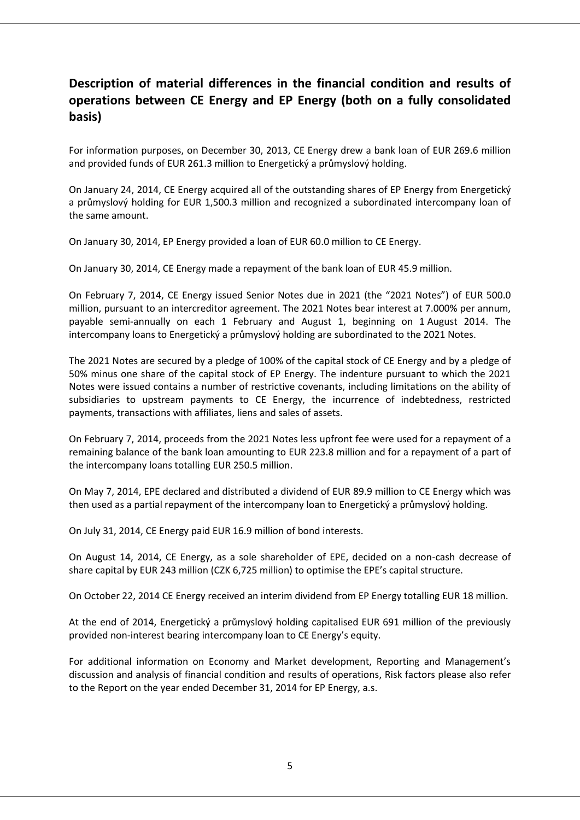## **Description of material differences in the financial condition and results of operations between CE Energy and EP Energy (both on a fully consolidated basis)**

For information purposes, on December 30, 2013, CE Energy drew a bank loan of EUR 269.6 million and provided funds of EUR 261.3 million to Energetický a průmyslový holding.

On January 24, 2014, CE Energy acquired all of the outstanding shares of EP Energy from Energetický a průmyslový holding for EUR 1,500.3 million and recognized a subordinated intercompany loan of the same amount.

On January 30, 2014, EP Energy provided a loan of EUR 60.0 million to CE Energy.

On January 30, 2014, CE Energy made a repayment of the bank loan of EUR 45.9 million.

On February 7, 2014, CE Energy issued Senior Notes due in 2021 (the "2021 Notes") of EUR 500.0 million, pursuant to an intercreditor agreement. The 2021 Notes bear interest at 7.000% per annum, payable semi-annually on each 1 February and August 1, beginning on 1 August 2014. The intercompany loans to Energetický a průmyslový holding are subordinated to the 2021 Notes.

The 2021 Notes are secured by a pledge of 100% of the capital stock of CE Energy and by a pledge of 50% minus one share of the capital stock of EP Energy. The indenture pursuant to which the 2021 Notes were issued contains a number of restrictive covenants, including limitations on the ability of subsidiaries to upstream payments to CE Energy, the incurrence of indebtedness, restricted payments, transactions with affiliates, liens and sales of assets.

On February 7, 2014, proceeds from the 2021 Notes less upfront fee were used for a repayment of a remaining balance of the bank loan amounting to EUR 223.8 million and for a repayment of a part of the intercompany loans totalling EUR 250.5 million.

On May 7, 2014, EPE declared and distributed a dividend of EUR 89.9 million to CE Energy which was then used as a partial repayment of the intercompany loan to Energetický a průmyslový holding.

On July 31, 2014, CE Energy paid EUR 16.9 million of bond interests.

On August 14, 2014, CE Energy, as a sole shareholder of EPE, decided on a non-cash decrease of share capital by EUR 243 million (CZK 6,725 million) to optimise the EPE's capital structure.

On October 22, 2014 CE Energy received an interim dividend from EP Energy totalling EUR 18 million.

At the end of 2014, Energetický a průmyslový holding capitalised EUR 691 million of the previously provided non-interest bearing intercompany loan to CE Energy's equity.

For additional information on Economy and Market development, Reporting and Management's discussion and analysis of financial condition and results of operations, Risk factors please also refer to the Report on the year ended December 31, 2014 for EP Energy, a.s.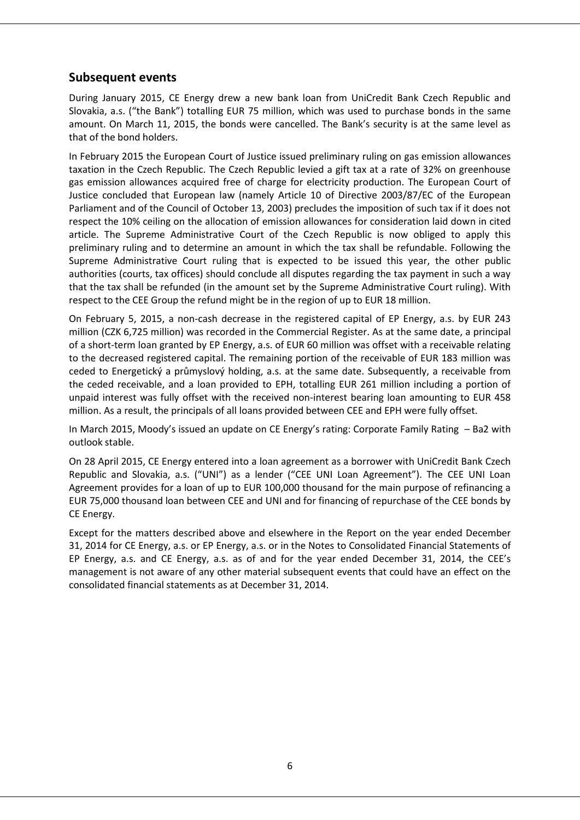## **Subsequent events**

During January 2015, CE Energy drew a new bank loan from UniCredit Bank Czech Republic and Slovakia, a.s. ("the Bank") totalling EUR 75 million, which was used to purchase bonds in the same amount. On March 11, 2015, the bonds were cancelled. The Bank's security is at the same level as that of the bond holders.

In February 2015 the European Court of Justice issued preliminary ruling on gas emission allowances taxation in the Czech Republic. The Czech Republic levied a gift tax at a rate of 32% on greenhouse gas emission allowances acquired free of charge for electricity production. The European Court of Justice concluded that European law (namely Article 10 of Directive 2003/87/EC of the European Parliament and of the Council of October 13, 2003) precludes the imposition of such tax if it does not respect the 10% ceiling on the allocation of emission allowances for consideration laid down in cited article. The Supreme Administrative Court of the Czech Republic is now obliged to apply this preliminary ruling and to determine an amount in which the tax shall be refundable. Following the Supreme Administrative Court ruling that is expected to be issued this year, the other public authorities (courts, tax offices) should conclude all disputes regarding the tax payment in such a way that the tax shall be refunded (in the amount set by the Supreme Administrative Court ruling). With respect to the CEE Group the refund might be in the region of up to EUR 18 million.

On February 5, 2015, a non-cash decrease in the registered capital of EP Energy, a.s. by EUR 243 million (CZK 6,725 million) was recorded in the Commercial Register. As at the same date, a principal of a short-term loan granted by EP Energy, a.s. of EUR 60 million was offset with a receivable relating to the decreased registered capital. The remaining portion of the receivable of EUR 183 million was ceded to Energetický a průmyslový holding, a.s. at the same date. Subsequently, a receivable from the ceded receivable, and a loan provided to EPH, totalling EUR 261 million including a portion of unpaid interest was fully offset with the received non-interest bearing loan amounting to EUR 458 million. As a result, the principals of all loans provided between CEE and EPH were fully offset.

In March 2015, Moody's issued an update on CE Energy's rating: Corporate Family Rating – Ba2 with outlook stable.

On 28 April 2015, CE Energy entered into a loan agreement as a borrower with UniCredit Bank Czech Republic and Slovakia, a.s. ("UNI") as a lender ("CEE UNI Loan Agreement"). The CEE UNI Loan Agreement provides for a loan of up to EUR 100,000 thousand for the main purpose of refinancing a EUR 75,000 thousand loan between CEE and UNI and for financing of repurchase of the CEE bonds by CE Energy.

Except for the matters described above and elsewhere in the Report on the year ended December 31, 2014 for CE Energy, a.s. or EP Energy, a.s. or in the Notes to Consolidated Financial Statements of EP Energy, a.s. and CE Energy, a.s. as of and for the year ended December 31, 2014, the CEE's management is not aware of any other material subsequent events that could have an effect on the consolidated financial statements as at December 31, 2014.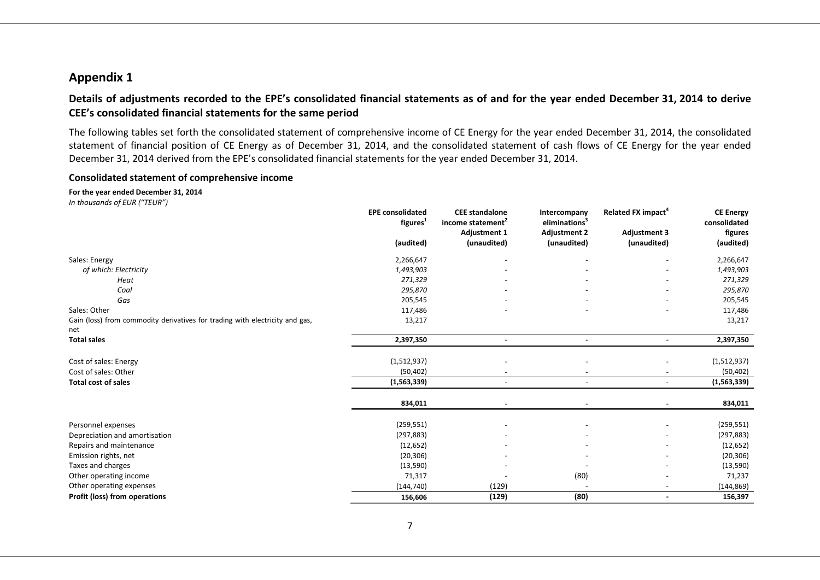## **Appendix 1**

## **Details of adjustments recorded to the EPE's consolidated financial statements as of and for the year ended December 31, 2014 to derive CEE's consolidated financial statements for the same period**

The following tables set forth the consolidated statement of comprehensive income of CE Energy for the year ended December 31, 2014, the consolidated statement of financial position of CE Energy as of December 31, 2014, and the consolidated statement of cash flows of CE Energy for the year ended December 31, 2014 derived from the EPE's consolidated financial statements for the year ended December 31, 2014.

#### **Consolidated statement of comprehensive income**

## **For the year ended December 31, 2014**

|                                                                                     | <b>EPE consolidated</b><br>figures <sup>1</sup> | <b>CEE</b> standalone<br>income statement <sup>2</sup> | Intercompany<br>eliminations <sup>3</sup> | Related FX impact <sup>4</sup> | <b>CE Energy</b><br>consolidated |
|-------------------------------------------------------------------------------------|-------------------------------------------------|--------------------------------------------------------|-------------------------------------------|--------------------------------|----------------------------------|
|                                                                                     |                                                 | <b>Adjustment 1</b>                                    | <b>Adjustment 2</b>                       | <b>Adjustment 3</b>            | figures                          |
|                                                                                     | (audited)                                       | (unaudited)                                            | (unaudited)                               | (unaudited)                    | (audited)                        |
| Sales: Energy                                                                       | 2,266,647                                       |                                                        |                                           |                                | 2,266,647                        |
| of which: Electricity                                                               | 1,493,903                                       |                                                        |                                           |                                | 1,493,903                        |
| Heat                                                                                | 271,329                                         |                                                        |                                           |                                | 271,329                          |
| Coal                                                                                | 295,870                                         |                                                        |                                           |                                | 295,870                          |
| Gas                                                                                 | 205,545                                         |                                                        |                                           |                                | 205,545                          |
| Sales: Other                                                                        | 117,486                                         |                                                        |                                           |                                | 117,486                          |
| Gain (loss) from commodity derivatives for trading with electricity and gas,<br>net | 13,217                                          |                                                        |                                           |                                | 13,217                           |
| <b>Total sales</b>                                                                  | 2,397,350                                       | $\overline{\phantom{a}}$                               | $\overline{\phantom{a}}$                  | $\overline{\phantom{a}}$       | 2,397,350                        |
| Cost of sales: Energy                                                               | (1,512,937)                                     |                                                        |                                           |                                | (1,512,937)                      |
| Cost of sales: Other                                                                | (50, 402)                                       |                                                        |                                           |                                | (50, 402)                        |
| <b>Total cost of sales</b>                                                          | (1,563,339)                                     | $\overline{\phantom{a}}$                               | $\sim$                                    |                                | (1,563,339)                      |
|                                                                                     | 834,011                                         |                                                        |                                           |                                | 834,011                          |
| Personnel expenses                                                                  | (259, 551)                                      |                                                        |                                           |                                | (259, 551)                       |
| Depreciation and amortisation                                                       | (297, 883)                                      |                                                        |                                           |                                | (297, 883)                       |
| Repairs and maintenance                                                             | (12, 652)                                       |                                                        |                                           |                                | (12, 652)                        |
| Emission rights, net                                                                | (20, 306)                                       |                                                        |                                           |                                | (20, 306)                        |
| Taxes and charges                                                                   | (13, 590)                                       |                                                        |                                           |                                | (13, 590)                        |
| Other operating income                                                              | 71,317                                          |                                                        | (80)                                      |                                | 71,237                           |
| Other operating expenses                                                            | (144, 740)                                      | (129)                                                  |                                           | $\overline{\phantom{a}}$       | (144, 869)                       |
| Profit (loss) from operations                                                       | 156,606                                         | (129)                                                  | (80)                                      | $\blacksquare$                 | 156,397                          |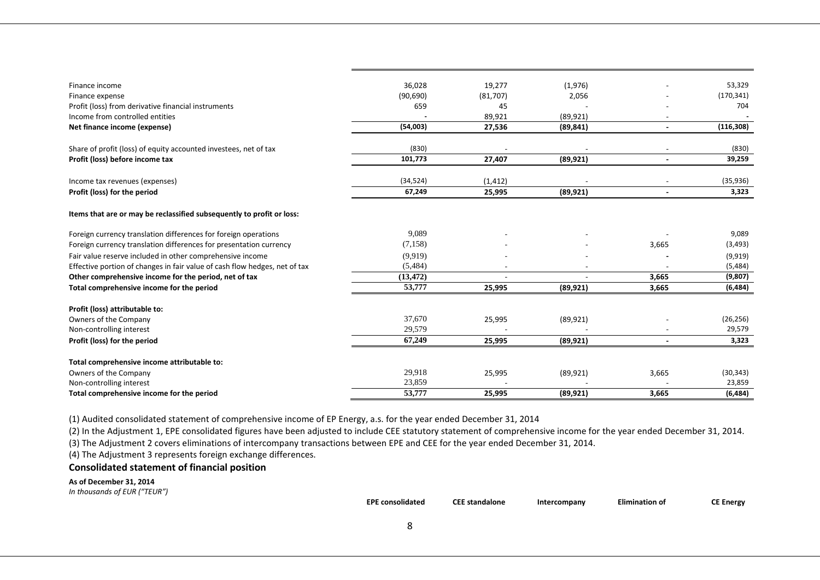| Finance income                                                             | 36,028    | 19,277   | (1,976)   |                          | 53,329     |
|----------------------------------------------------------------------------|-----------|----------|-----------|--------------------------|------------|
| Finance expense                                                            | (90, 690) | (81,707) | 2,056     |                          | (170, 341) |
| Profit (loss) from derivative financial instruments                        | 659       | 45       |           |                          | 704        |
| Income from controlled entities                                            |           | 89,921   | (89, 921) |                          |            |
| Net finance income (expense)                                               | (54,003)  | 27,536   | (89, 841) |                          | (116, 308) |
|                                                                            |           |          |           |                          |            |
| Share of profit (loss) of equity accounted investees, net of tax           | (830)     |          |           |                          | (830)      |
| Profit (loss) before income tax                                            | 101,773   | 27,407   | (89, 921) | $\blacksquare$           | 39,259     |
| Income tax revenues (expenses)                                             | (34, 524) | (1, 412) |           | $\overline{\phantom{a}}$ | (35, 936)  |
| Profit (loss) for the period                                               | 67,249    | 25,995   | (89, 921) |                          | 3,323      |
| Items that are or may be reclassified subsequently to profit or loss:      |           |          |           |                          |            |
| Foreign currency translation differences for foreign operations            | 9,089     |          |           |                          | 9,089      |
| Foreign currency translation differences for presentation currency         | (7,158)   |          |           | 3,665                    | (3, 493)   |
| Fair value reserve included in other comprehensive income                  | (9.919)   |          |           |                          | (9, 919)   |
| Effective portion of changes in fair value of cash flow hedges, net of tax | (5,484)   |          |           |                          | (5,484)    |
| Other comprehensive income for the period, net of tax                      | (13, 472) |          |           | 3,665                    | (9,807)    |
| Total comprehensive income for the period                                  | 53,777    | 25,995   | (89, 921) | 3,665                    | (6, 484)   |
| Profit (loss) attributable to:                                             |           |          |           |                          |            |
| Owners of the Company                                                      | 37,670    | 25,995   | (89, 921) |                          | (26, 256)  |
| Non-controlling interest                                                   | 29,579    |          |           |                          | 29,579     |
| Profit (loss) for the period                                               | 67,249    | 25,995   | (89, 921) |                          | 3,323      |
| Total comprehensive income attributable to:                                |           |          |           |                          |            |
| Owners of the Company                                                      | 29,918    | 25,995   | (89, 921) | 3,665                    | (30, 343)  |
| Non-controlling interest                                                   | 23,859    |          |           |                          | 23,859     |
| Total comprehensive income for the period                                  | 53,777    | 25,995   | (89, 921) | 3,665                    | (6, 484)   |

(1) Audited consolidated statement of comprehensive income of EP Energy, a.s. for the year ended December 31, 2014

(2) In the Adjustment 1, EPE consolidated figures have been adjusted to include CEE statutory statement of comprehensive income for the year ended December 31, 2014.

(3) The Adjustment 2 covers eliminations of intercompany transactions between EPE and CEE for the year ended December 31, 2014.

(4) The Adjustment 3 represents foreign exchange differences.

#### **Consolidated statement of financial position**

**As of December 31, 2014**

*In thousands of EUR ("TEUR")*

**EPE consolidated CEE standalone Intercompany Elimination of CE Energy**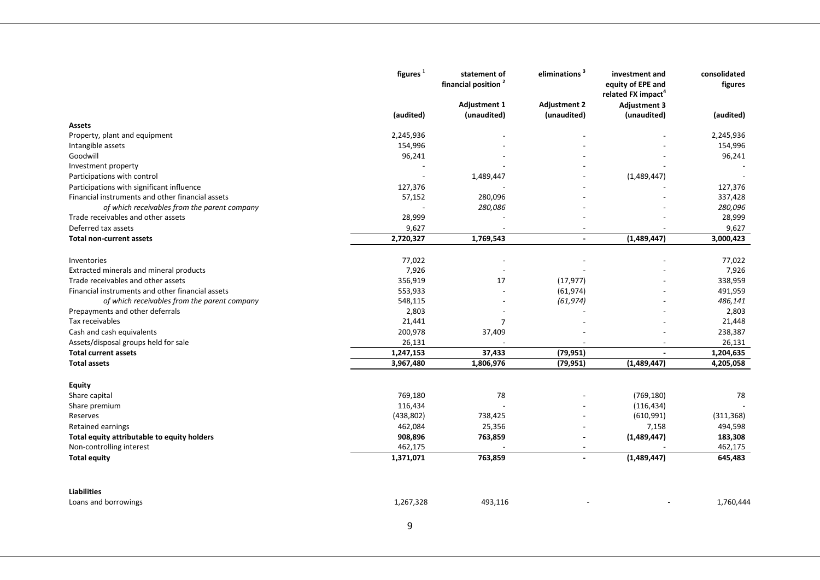|                                                    | figures <sup>1</sup>   | statement of<br>financial position <sup>2</sup> | eliminations <sup>3</sup> | investment and<br>equity of EPE and<br>related FX impact <sup>4</sup> | consolidated<br>figures |
|----------------------------------------------------|------------------------|-------------------------------------------------|---------------------------|-----------------------------------------------------------------------|-------------------------|
|                                                    |                        | <b>Adjustment 1</b>                             | <b>Adjustment 2</b>       | <b>Adjustment 3</b>                                                   |                         |
|                                                    | (audited)              | (unaudited)                                     | (unaudited)               | (unaudited)                                                           | (audited)               |
| Assets                                             |                        |                                                 |                           |                                                                       |                         |
| Property, plant and equipment                      | 2,245,936              |                                                 |                           |                                                                       | 2,245,936               |
| Intangible assets                                  | 154,996                |                                                 |                           |                                                                       | 154,996                 |
| Goodwill                                           | 96,241                 |                                                 |                           |                                                                       | 96,241                  |
| Investment property                                |                        |                                                 |                           |                                                                       |                         |
| Participations with control                        |                        | 1,489,447                                       |                           | (1,489,447)                                                           |                         |
| Participations with significant influence          | 127,376                |                                                 |                           |                                                                       | 127,376                 |
| Financial instruments and other financial assets   | 57,152                 | 280,096                                         |                           |                                                                       | 337,428                 |
| of which receivables from the parent company       |                        | 280,086                                         |                           |                                                                       | 280,096                 |
| Trade receivables and other assets                 | 28,999                 |                                                 |                           |                                                                       | 28,999                  |
| Deferred tax assets                                | 9,627                  |                                                 |                           |                                                                       | 9,627                   |
| <b>Total non-current assets</b>                    | 2,720,327              | 1,769,543                                       |                           | (1,489,447)                                                           | 3,000,423               |
| Inventories                                        | 77,022                 |                                                 |                           |                                                                       |                         |
| Extracted minerals and mineral products            | 7,926                  |                                                 |                           |                                                                       | 77,022<br>7,926         |
| Trade receivables and other assets                 | 356,919                | 17                                              | (17, 977)                 |                                                                       | 338,959                 |
| Financial instruments and other financial assets   | 553,933                |                                                 | (61, 974)                 |                                                                       | 491,959                 |
| of which receivables from the parent company       | 548,115                |                                                 | (61, 974)                 |                                                                       | 486,141                 |
| Prepayments and other deferrals                    | 2,803                  |                                                 |                           |                                                                       | 2,803                   |
| Tax receivables                                    | 21,441                 | $\overline{7}$                                  |                           |                                                                       | 21,448                  |
|                                                    |                        |                                                 |                           |                                                                       |                         |
| Cash and cash equivalents                          | 200,978                | 37,409                                          |                           |                                                                       | 238,387                 |
| Assets/disposal groups held for sale               | 26,131                 |                                                 |                           | $\overline{\phantom{a}}$                                              | 26,131                  |
| <b>Total current assets</b><br><b>Total assets</b> | 1,247,153<br>3,967,480 | 37,433<br>1,806,976                             | (79, 951)<br>(79, 951)    | (1,489,447)                                                           | 1,204,635<br>4,205,058  |
|                                                    |                        |                                                 |                           |                                                                       |                         |
| <b>Equity</b>                                      |                        |                                                 |                           |                                                                       |                         |
| Share capital                                      | 769,180                | 78                                              |                           | (769, 180)                                                            | 78                      |
| Share premium                                      | 116,434                |                                                 |                           | (116, 434)                                                            |                         |
| Reserves                                           | (438, 802)             | 738,425                                         |                           | (610, 991)                                                            | (311, 368)              |
| <b>Retained earnings</b>                           | 462,084                | 25,356                                          |                           | 7,158                                                                 | 494,598                 |
| Total equity attributable to equity holders        | 908,896                | 763,859                                         |                           | (1,489,447)                                                           | 183,308                 |
| Non-controlling interest                           | 462,175                |                                                 |                           |                                                                       | 462,175                 |
| <b>Total equity</b>                                | 1,371,071              | 763,859                                         | $\blacksquare$            | (1,489,447)                                                           | 645,483                 |
| <b>Liabilities</b>                                 |                        |                                                 |                           |                                                                       |                         |
| Loans and borrowings                               | 1,267,328              | 493,116                                         |                           |                                                                       | 1,760,444               |
|                                                    |                        |                                                 |                           |                                                                       |                         |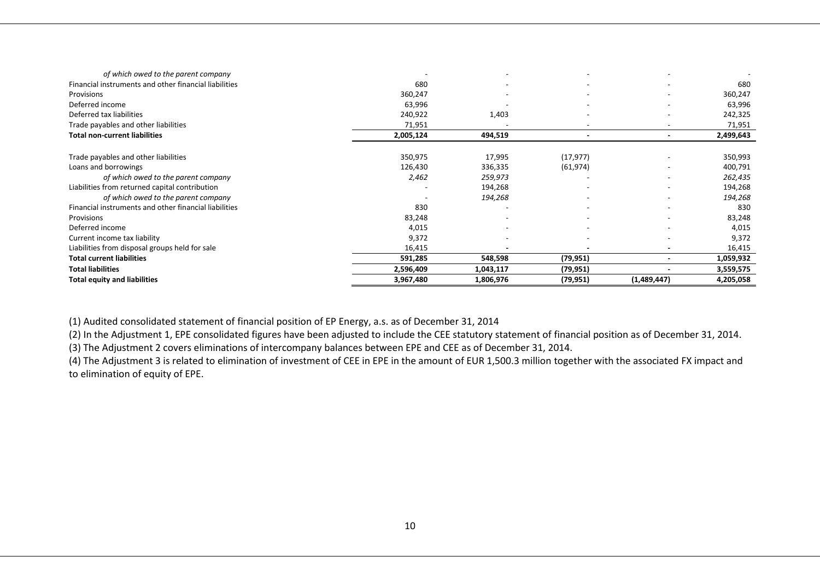| of which owed to the parent company                   |           |           |                          |             |           |
|-------------------------------------------------------|-----------|-----------|--------------------------|-------------|-----------|
| Financial instruments and other financial liabilities | 680       |           |                          |             | 680       |
| Provisions                                            | 360,247   |           | $\overline{\phantom{a}}$ |             | 360,247   |
| Deferred income                                       | 63,996    |           | $\overline{\phantom{a}}$ |             | 63,996    |
| Deferred tax liabilities                              | 240,922   | 1,403     |                          |             | 242,325   |
| Trade payables and other liabilities                  | 71,951    |           |                          |             | 71,951    |
| <b>Total non-current liabilities</b>                  | 2,005,124 | 494,519   |                          |             | 2,499,643 |
| Trade payables and other liabilities                  | 350,975   | 17,995    | (17, 977)                |             | 350,993   |
| Loans and borrowings                                  | 126,430   | 336,335   | (61, 974)                |             | 400,791   |
| of which owed to the parent company                   | 2,462     | 259,973   |                          |             | 262,435   |
| Liabilities from returned capital contribution        |           | 194,268   |                          |             | 194,268   |
| of which owed to the parent company                   |           | 194,268   | $\overline{\phantom{a}}$ |             | 194,268   |
| Financial instruments and other financial liabilities | 830       |           |                          |             | 830       |
| Provisions                                            | 83,248    |           |                          |             | 83,248    |
| Deferred income                                       | 4,015     |           | $\overline{\phantom{a}}$ |             | 4,015     |
| Current income tax liability                          | 9,372     |           | $\overline{\phantom{a}}$ |             | 9,372     |
| Liabilities from disposal groups held for sale        | 16,415    |           |                          |             | 16,415    |
| <b>Total current liabilities</b>                      | 591,285   | 548,598   | (79, 951)                |             | 1,059,932 |
| <b>Total liabilities</b>                              | 2,596,409 | 1,043,117 | (79, 951)                |             | 3,559,575 |
| <b>Total equity and liabilities</b>                   | 3,967,480 | 1,806,976 | (79, 951)                | (1,489,447) | 4,205,058 |

(1) Audited consolidated statement of financial position of EP Energy, a.s. as of December 31, 2014

(2) In the Adjustment 1, EPE consolidated figures have been adjusted to include the CEE statutory statement of financial position as of December 31, 2014.

(3) The Adjustment 2 covers eliminations of intercompany balances between EPE and CEE as of December 31, 2014.

(4) The Adjustment 3 is related to elimination of investment of CEE in EPE in the amount of EUR 1,500.3 million together with the associated FX impact and to elimination of equity of EPE.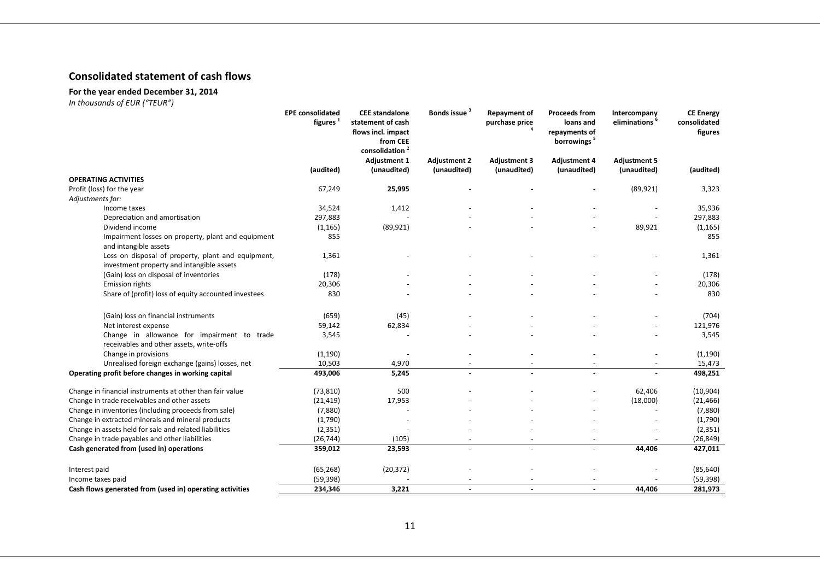## **Consolidated statement of cash flows**

## **For the year ended December 31, 2014**

|                                                                                                 | <b>EPE consolidated</b><br>figures <sup>1</sup> | <b>CEE</b> standalone<br>statement of cash<br>flows incl. impact<br>from CEE<br>consolidation <sup>2</sup> | <b>Bonds issue</b>                 | <b>Repayment of</b><br>purchase price | <b>Proceeds from</b><br>loans and<br>repayments of<br>borrowings <sup>5</sup> | Intercompany<br>eliminations <sup>6</sup> | <b>CE Energy</b><br>consolidated<br>figures |
|-------------------------------------------------------------------------------------------------|-------------------------------------------------|------------------------------------------------------------------------------------------------------------|------------------------------------|---------------------------------------|-------------------------------------------------------------------------------|-------------------------------------------|---------------------------------------------|
|                                                                                                 | (audited)                                       | <b>Adjustment 1</b><br>(unaudited)                                                                         | <b>Adjustment 2</b><br>(unaudited) | <b>Adjustment 3</b><br>(unaudited)    | <b>Adjustment 4</b><br>(unaudited)                                            | <b>Adjustment 5</b><br>(unaudited)        | (audited)                                   |
| <b>OPERATING ACTIVITIES</b>                                                                     |                                                 |                                                                                                            |                                    |                                       |                                                                               |                                           |                                             |
| Profit (loss) for the year                                                                      | 67,249                                          | 25,995                                                                                                     |                                    |                                       |                                                                               | (89, 921)                                 | 3,323                                       |
| Adjustments for:                                                                                |                                                 |                                                                                                            |                                    |                                       |                                                                               |                                           |                                             |
| Income taxes                                                                                    | 34,524                                          | 1,412                                                                                                      |                                    |                                       |                                                                               |                                           | 35,936                                      |
| Depreciation and amortisation                                                                   | 297,883                                         |                                                                                                            |                                    |                                       |                                                                               |                                           | 297,883                                     |
| Dividend income                                                                                 | (1, 165)                                        | (89, 921)                                                                                                  |                                    |                                       |                                                                               | 89,921                                    | (1, 165)                                    |
| Impairment losses on property, plant and equipment<br>and intangible assets                     | 855                                             |                                                                                                            |                                    |                                       |                                                                               |                                           | 855                                         |
| Loss on disposal of property, plant and equipment,<br>investment property and intangible assets | 1,361                                           |                                                                                                            |                                    |                                       |                                                                               |                                           | 1,361                                       |
| (Gain) loss on disposal of inventories                                                          | (178)                                           |                                                                                                            |                                    |                                       |                                                                               |                                           | (178)                                       |
| <b>Emission rights</b>                                                                          | 20,306                                          |                                                                                                            |                                    |                                       |                                                                               |                                           | 20,306                                      |
| Share of (profit) loss of equity accounted investees                                            | 830                                             |                                                                                                            |                                    |                                       |                                                                               |                                           | 830                                         |
| (Gain) loss on financial instruments                                                            | (659)                                           | (45)                                                                                                       |                                    |                                       |                                                                               |                                           | (704)                                       |
| Net interest expense                                                                            | 59,142                                          | 62,834                                                                                                     |                                    |                                       |                                                                               |                                           | 121,976                                     |
| Change in allowance for impairment to trade<br>receivables and other assets, write-offs         | 3,545                                           |                                                                                                            |                                    |                                       |                                                                               |                                           | 3,545                                       |
| Change in provisions                                                                            | (1, 190)                                        |                                                                                                            |                                    |                                       |                                                                               |                                           | (1, 190)                                    |
| Unrealised foreign exchange (gains) losses, net                                                 | 10,503                                          | 4,970                                                                                                      |                                    |                                       |                                                                               |                                           | 15,473                                      |
| Operating profit before changes in working capital                                              | 493,006                                         | 5,245                                                                                                      | $\overline{a}$                     |                                       |                                                                               |                                           | 498,251                                     |
| Change in financial instruments at other than fair value                                        | (73, 810)                                       | 500                                                                                                        |                                    |                                       |                                                                               | 62,406                                    | (10, 904)                                   |
| Change in trade receivables and other assets                                                    | (21, 419)                                       | 17,953                                                                                                     |                                    |                                       |                                                                               | (18,000)                                  | (21, 466)                                   |
| Change in inventories (including proceeds from sale)                                            | (7,880)                                         |                                                                                                            |                                    |                                       |                                                                               |                                           | (7,880)                                     |
| Change in extracted minerals and mineral products                                               | (1,790)                                         |                                                                                                            |                                    |                                       |                                                                               |                                           | (1,790)                                     |
| Change in assets held for sale and related liabilities                                          | (2, 351)                                        |                                                                                                            |                                    |                                       |                                                                               |                                           | (2, 351)                                    |
| Change in trade payables and other liabilities                                                  | (26, 744)                                       | (105)                                                                                                      |                                    |                                       |                                                                               |                                           | (26, 849)                                   |
| Cash generated from (used in) operations                                                        | 359,012                                         | 23,593                                                                                                     | $\sim$                             | $\sim$                                | $\overline{a}$                                                                | 44,406                                    | 427,011                                     |
| Interest paid                                                                                   | (65, 268)                                       | (20, 372)                                                                                                  |                                    |                                       |                                                                               |                                           | (85, 640)                                   |
| Income taxes paid                                                                               | (59, 398)                                       |                                                                                                            |                                    |                                       |                                                                               |                                           | (59, 398)                                   |
| Cash flows generated from (used in) operating activities                                        | 234,346                                         | 3,221                                                                                                      |                                    |                                       |                                                                               | 44,406                                    | 281,973                                     |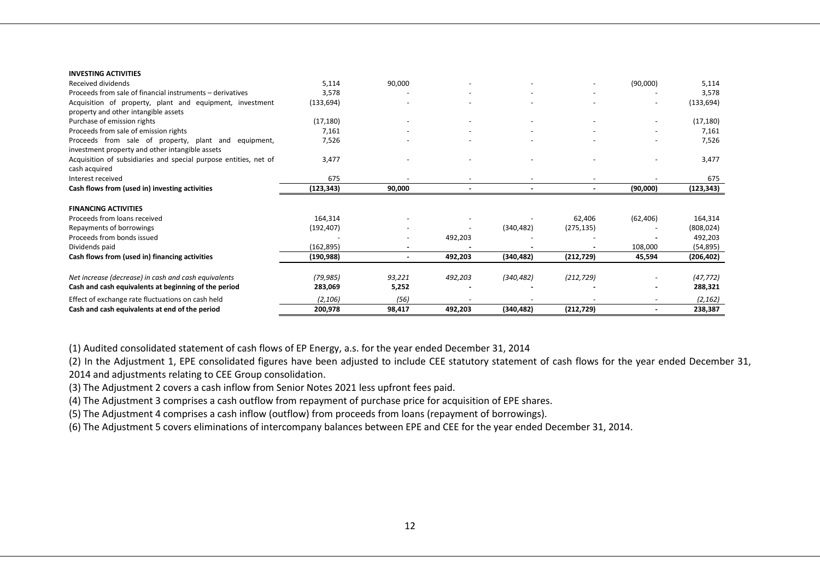#### **INVESTING ACTIVITIES**

| Received dividends                                               | 5,114      | 90,000 |         |            |            | (90,000)  | 5,114      |
|------------------------------------------------------------------|------------|--------|---------|------------|------------|-----------|------------|
| Proceeds from sale of financial instruments - derivatives        | 3,578      |        |         |            |            |           | 3,578      |
| Acquisition of property, plant and equipment, investment         | (133, 694) |        |         |            |            |           | (133, 694) |
| property and other intangible assets                             |            |        |         |            |            |           |            |
| Purchase of emission rights                                      | (17, 180)  |        |         |            |            |           | (17, 180)  |
| Proceeds from sale of emission rights                            | 7,161      |        |         |            |            |           | 7,161      |
| Proceeds from sale of property, plant and equipment,             | 7,526      |        |         |            |            |           | 7,526      |
| investment property and other intangible assets                  |            |        |         |            |            |           |            |
| Acquisition of subsidiaries and special purpose entities, net of | 3,477      |        |         |            |            |           | 3,477      |
| cash acquired                                                    |            |        |         |            |            |           |            |
| Interest received                                                | 675        |        |         |            |            |           | 675        |
| Cash flows from (used in) investing activities                   | (123,343)  | 90,000 |         |            |            | (90,000)  | (123,343)  |
| <b>FINANCING ACTIVITIES</b>                                      |            |        |         |            |            |           |            |
| Proceeds from loans received                                     | 164,314    |        |         |            | 62,406     | (62, 406) | 164,314    |
| Repayments of borrowings                                         | (192, 407) |        |         | (340, 482) | (275, 135) |           | (808, 024) |
| Proceeds from bonds issued                                       |            |        | 492,203 |            |            |           | 492,203    |
| Dividends paid                                                   | (162,895)  |        |         |            |            | 108,000   | (54, 895)  |
| Cash flows from (used in) financing activities                   | (190,988)  |        | 492,203 | (340, 482) | (212, 729) | 45,594    | (206, 402) |
|                                                                  |            |        |         |            |            |           |            |
| Net increase (decrease) in cash and cash equivalents             | (79, 985)  | 93,221 | 492,203 | (340, 482) | (212, 729) |           | (47, 772)  |
| Cash and cash equivalents at beginning of the period             | 283,069    | 5,252  |         |            |            |           | 288,321    |
| Effect of exchange rate fluctuations on cash held                | (2, 106)   | (56)   |         |            |            |           | (2, 162)   |
| Cash and cash equivalents at end of the period                   | 200,978    | 98,417 | 492,203 | (340, 482) | (212, 729) |           | 238,387    |

(1) Audited consolidated statement of cash flows of EP Energy, a.s. for the year ended December 31, 2014

(2) In the Adjustment 1, EPE consolidated figures have been adjusted to include CEE statutory statement of cash flows for the year ended December 31,

2014 and adjustments relating to CEE Group consolidation.

(3) The Adjustment 2 covers a cash inflow from Senior Notes 2021 less upfront fees paid.

(4) The Adjustment 3 comprises a cash outflow from repayment of purchase price for acquisition of EPE shares.

(5) The Adjustment 4 comprises a cash inflow (outflow) from proceeds from loans (repayment of borrowings).

(6) The Adjustment 5 covers eliminations of intercompany balances between EPE and CEE for the year ended December 31, 2014.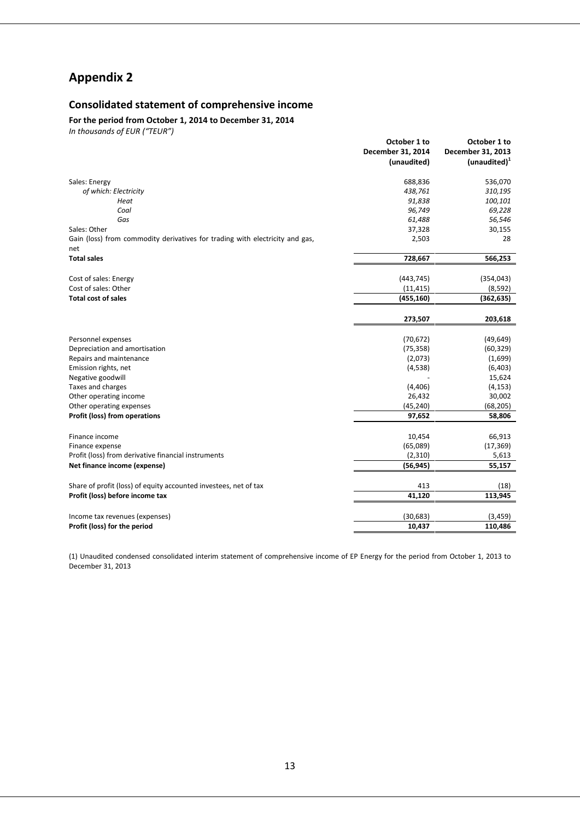## **Appendix 2**

## **Consolidated statement of comprehensive income**

**For the period from October 1, 2014 to December 31, 2014**

*In thousands of EUR ("TEUR")*

|                                                                                     | October 1 to      | October 1 to             |
|-------------------------------------------------------------------------------------|-------------------|--------------------------|
|                                                                                     | December 31, 2014 | December 31, 2013        |
|                                                                                     | (unaudited)       | (unaudited) <sup>1</sup> |
| Sales: Energy                                                                       | 688,836           | 536,070                  |
| of which: Electricity                                                               | 438,761           | 310,195                  |
| Heat                                                                                | 91,838            | 100,101                  |
| Coal                                                                                | 96,749            | 69,228                   |
| Gas                                                                                 | 61,488            | 56,546                   |
| Sales: Other                                                                        | 37,328            | 30,155                   |
| Gain (loss) from commodity derivatives for trading with electricity and gas,<br>net | 2,503             | 28                       |
| <b>Total sales</b>                                                                  | 728,667           | 566,253                  |
| Cost of sales: Energy                                                               | (443, 745)        | (354, 043)               |
| Cost of sales: Other                                                                | (11, 415)         | (8,592)                  |
| <b>Total cost of sales</b>                                                          | (455, 160)        | (362, 635)               |
|                                                                                     | 273,507           | 203,618                  |
| Personnel expenses                                                                  | (70, 672)         | (49, 649)                |
| Depreciation and amortisation                                                       | (75, 358)         | (60, 329)                |
| Repairs and maintenance                                                             | (2,073)           | (1,699)                  |
| Emission rights, net                                                                | (4,538)           | (6, 403)                 |
| Negative goodwill                                                                   |                   | 15,624                   |
| Taxes and charges                                                                   | (4,406)           | (4, 153)                 |
| Other operating income                                                              | 26,432            | 30,002                   |
| Other operating expenses                                                            | (45, 240)         | (68, 205)                |
| Profit (loss) from operations                                                       | 97,652            | 58,806                   |
| Finance income                                                                      | 10,454            | 66,913                   |
| Finance expense                                                                     | (65,089)          | (17, 369)                |
| Profit (loss) from derivative financial instruments                                 | (2,310)           | 5,613                    |
| Net finance income (expense)                                                        | (56, 945)         | 55,157                   |
| Share of profit (loss) of equity accounted investees, net of tax                    | 413               | (18)                     |
| Profit (loss) before income tax                                                     | 41,120            | 113,945                  |
|                                                                                     |                   |                          |
| Income tax revenues (expenses)                                                      | (30, 683)         | (3, 459)                 |
| Profit (loss) for the period                                                        | 10,437            | 110,486                  |

(1) Unaudited condensed consolidated interim statement of comprehensive income of EP Energy for the period from October 1, 2013 to December 31, 2013